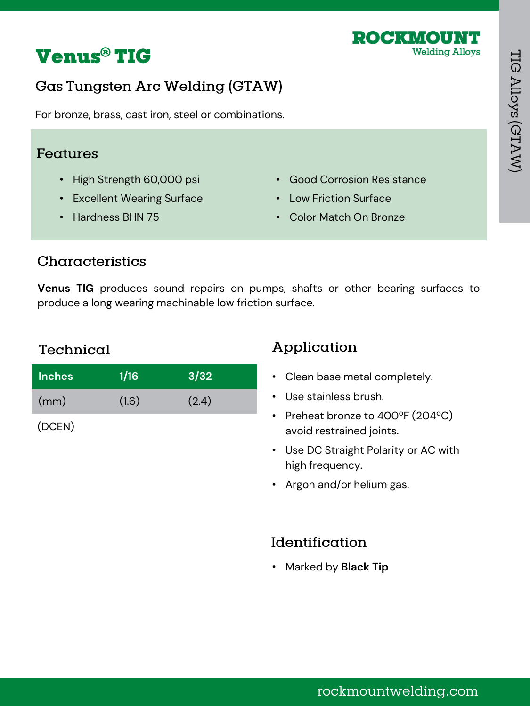

# **Gas Tungsten Arc Welding (GTAW)**

For bronze, brass, cast iron, steel or combinations.

#### Features

- High Strength 60,000 psi
- Excellent Wearing Surface
- Hardness BHN 75

• Good Corrosion Resistance

ROCKWOUNT

**Welding Alloys** 

- Low Friction Surface
- Color Match On Bronze

# Characteristics

**Venus TIG** produces sound repairs on pumps, shafts or other bearing surfaces to produce a long wearing machinable low friction surface.

# Technical

| <b>Inches</b> | 1/16  | 3/32  |  |
|---------------|-------|-------|--|
| (mm)          | (1.6) | (2.4) |  |
| (DCEN)        |       |       |  |

### Application

- Clean base metal completely.
- Use stainless brush.
- Preheat bronze to 400ºF (204ºC) avoid restrained joints.
- Use DC Straight Polarity or AC with high frequency.
- Argon and/or helium gas.

#### Identification

• Marked by **Black Tip**